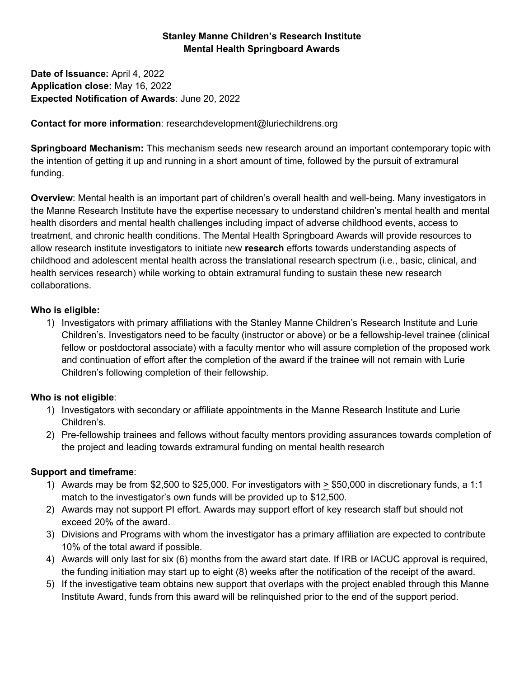#### **Stanley Manne Children's Research Institute Mental Health Springboard Awards**

**Date of Issuance:** April 4, 2022 **Application close:** May 16, 2022 **Expected Notification of Awards**: June 20, 2022

#### **Contact for more information**: researchdevelopment@luriechildrens.org

**Springboard Mechanism:** This mechanism seeds new research around an important contemporary topic with the intention of getting it up and running in a short amount of time, followed by the pursuit of extramural funding.

**Overview**: Mental health is an important part of children's overall health and well-being. Many investigators in the Manne Research Institute have the expertise necessary to understand children's mental health and mental health disorders and mental health challenges including impact of adverse childhood events, access to treatment, and chronic health conditions. The Mental Health Springboard Awards will provide resources to allow research institute investigators to initiate new **research** efforts towards understanding aspects of childhood and adolescent mental health across the translational research spectrum (i.e., basic, clinical, and health services research) while working to obtain extramural funding to sustain these new research collaborations.

#### **Who is eligible:**

1) Investigators with primary affiliations with the Stanley Manne Children's Research Institute and Lurie Children's. Investigators need to be faculty (instructor or above) or be a fellowship-level trainee (clinical fellow or postdoctoral associate) with a faculty mentor who will assure completion of the proposed work and continuation of effort after the completion of the award if the trainee will not remain with Lurie Children's following completion of their fellowship.

## **Who is not eligible**:

- 1) Investigators with secondary or affiliate appointments in the Manne Research Institute and Lurie Children's.
- 2) Pre-fellowship trainees and fellows without faculty mentors providing assurances towards completion of the project and leading towards extramural funding on mental health research

## **Support and timeframe**:

- 1) Awards may be from \$2,500 to \$25,000. For investigators with  $\geq$  \$50,000 in discretionary funds, a 1:1 match to the investigator's own funds will be provided up to \$12,500.
- 2) Awards may not support PI effort. Awards may support effort of key research staff but should not exceed 20% of the award.
- 3) Divisions and Programs with whom the investigator has a primary affiliation are expected to contribute 10% of the total award if possible.
- 4) Awards will only last for six (6) months from the award start date. If IRB or IACUC approval is required, the funding initiation may start up to eight (8) weeks after the notification of the receipt of the award.
- 5) If the investigative team obtains new support that overlaps with the project enabled through this Manne Institute Award, funds from this award will be relinquished prior to the end of the support period.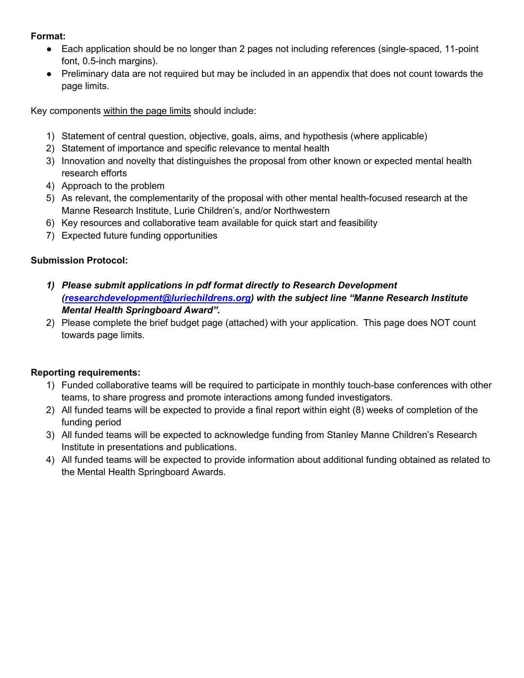#### **Format:**

- Each application should be no longer than 2 pages not including references (single-spaced, 11-point font, 0.5-inch margins).
- Preliminary data are not required but may be included in an appendix that does not count towards the page limits.

Key components within the page limits should include:

- 1) Statement of central question, objective, goals, aims, and hypothesis (where applicable)
- 2) Statement of importance and specific relevance to mental health
- 3) Innovation and novelty that distinguishes the proposal from other known or expected mental health research efforts
- 4) Approach to the problem
- 5) As relevant, the complementarity of the proposal with other mental health-focused research at the Manne Research Institute, Lurie Children's, and/or Northwestern
- 6) Key resources and collaborative team available for quick start and feasibility
- 7) Expected future funding opportunities

### **Submission Protocol:**

- *1) Please submit applications in pdf format directly to Research Development [\(researchdevelopment@luriechildrens.org\)](mailto:bapikosbennett@luriechildrens.org) with the subject line "Manne Research Institute Mental Health Springboard Award".*
- 2) Please complete the brief budget page (attached) with your application. This page does NOT count towards page limits.

## **Reporting requirements:**

- 1) Funded collaborative teams will be required to participate in monthly touch-base conferences with other teams, to share progress and promote interactions among funded investigators.
- 2) All funded teams will be expected to provide a final report within eight (8) weeks of completion of the funding period
- 3) All funded teams will be expected to acknowledge funding from Stanley Manne Children's Research Institute in presentations and publications.
- 4) All funded teams will be expected to provide information about additional funding obtained as related to the Mental Health Springboard Awards.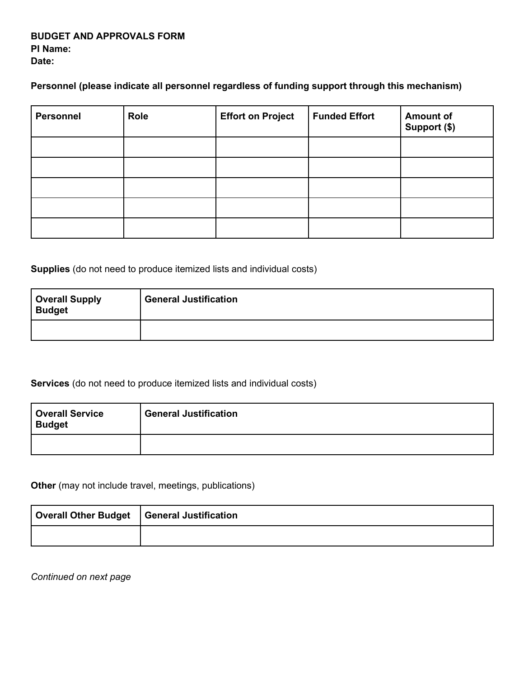#### **BUDGET AND APPROVALS FORM PI Name: Date:**

**Personnel (please indicate all personnel regardless of funding support through this mechanism)**

| <b>Personnel</b> | <b>Role</b> | <b>Effort on Project</b> | <b>Funded Effort</b> | <b>Amount of</b><br>Support (\$) |
|------------------|-------------|--------------------------|----------------------|----------------------------------|
|                  |             |                          |                      |                                  |
|                  |             |                          |                      |                                  |
|                  |             |                          |                      |                                  |
|                  |             |                          |                      |                                  |
|                  |             |                          |                      |                                  |

**Supplies** (do not need to produce itemized lists and individual costs)

| <b>Overall Supply<br/>Budget</b> | <b>General Justification</b> |
|----------------------------------|------------------------------|
|                                  |                              |

**Services** (do not need to produce itemized lists and individual costs)

| <b>Overall Service</b><br><b>Budget</b> | <b>General Justification</b> |
|-----------------------------------------|------------------------------|
|                                         |                              |

**Other** (may not include travel, meetings, publications)

| Overall Other Budget   General Justification |  |
|----------------------------------------------|--|
|                                              |  |

*Continued on next page*